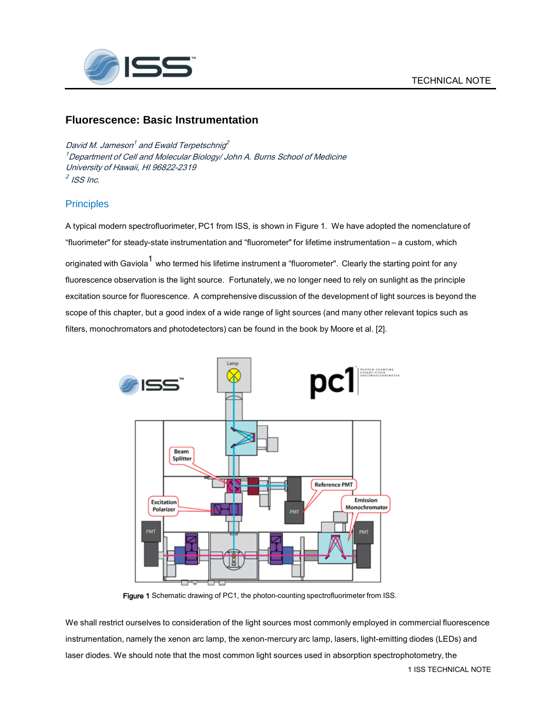

# **Fluorescence: Basic Instrumentation**

David M. Jameson $^{\prime}$  and Ewald Terpetschnig $^{\prime}$  $^{\prime}$ Department of Cell and Molecular Biology/ John A. Burns School of Medicine University of Hawaii, HI 96822-2319  $^2$  ISS Inc.

# **Principles**

A typical modern spectrofluorimeter, PC1 from ISS, is shown in Figure 1. We have adopted the nomenclature of "fluorimeter" for steady-state instrumentation and "fluorometer" for lifetime instrumentation – a custom, which originated with Gaviola<sup>1</sup> who termed his lifetime instrument a "fluorometer". Clearly the starting point for any fluorescence observation is the light source. Fortunately, we no longer need to rely on sunlight as the principle excitation source for fluorescence. A comprehensive discussion of the development of light sources is beyond the scope of this chapter, but a good index of a wide range of light sources (and many other relevant topics such as filters, monochromators and photodetectors) can be found in the book by Moore et al. [2].



Figure 1 Schematic drawing of PC1, the photon-counting spectrofluorimeter from ISS.

We shall restrict ourselves to consideration of the light sources most commonly employed in commercial fluorescence instrumentation, namely the xenon arc lamp, the xenon-mercury arc lamp, lasers, light-emitting diodes (LEDs) and laser diodes. We should note that the most common light sources used in absorption spectrophotometry, the

1 ISS TECHNICAL NOTE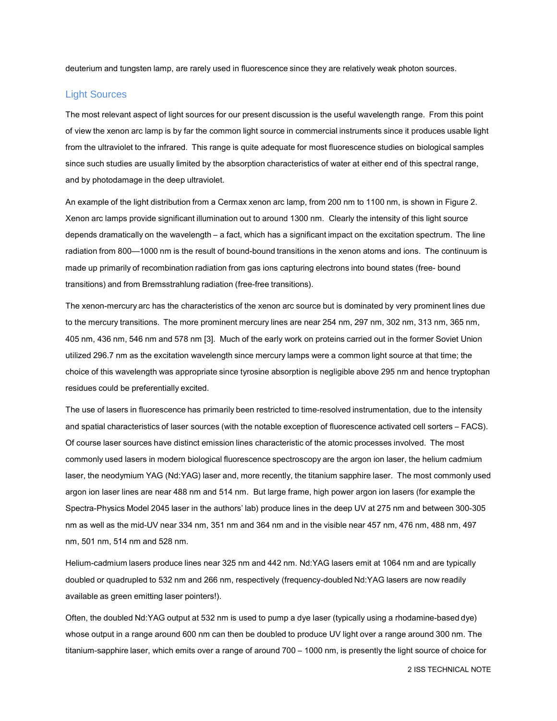deuterium and tungsten lamp, are rarely used in fluorescence since they are relatively weak photon sources.

#### Light Sources

The most relevant aspect of light sources for our present discussion is the useful wavelength range. From this point of view the xenon arc lamp is by far the common light source in commercial instruments since it produces usable light from the ultraviolet to the infrared. This range is quite adequate for most fluorescence studies on biological samples since such studies are usually limited by the absorption characteristics of water at either end of this spectral range, and by photodamage in the deep ultraviolet.

An example of the light distribution from a Cermax xenon arc lamp, from 200 nm to 1100 nm, is shown in Figure 2. Xenon arc lamps provide significant illumination out to around 1300 nm. Clearly the intensity of this light source depends dramatically on the wavelength – a fact, which has a significant impact on the excitation spectrum. The line radiation from 800—1000 nm is the result of bound-bound transitions in the xenon atoms and ions. The continuum is made up primarily of recombination radiation from gas ions capturing electrons into bound states (free- bound transitions) and from Bremsstrahlung radiation (free-free transitions).

The xenon-mercury arc has the characteristics of the xenon arc source but is dominated by very prominent lines due to the mercury transitions. The more prominent mercury lines are near 254 nm, 297 nm, 302 nm, 313 nm, 365 nm, 405 nm, 436 nm, 546 nm and 578 nm [3]. Much of the early work on proteins carried out in the former Soviet Union utilized 296.7 nm as the excitation wavelength since mercury lamps were a common light source at that time; the choice of this wavelength was appropriate since tyrosine absorption is negligible above 295 nm and hence tryptophan residues could be preferentially excited.

The use of lasers in fluorescence has primarily been restricted to time-resolved instrumentation, due to the intensity and spatial characteristics of laser sources (with the notable exception of fluorescence activated cell sorters – FACS). Of course laser sources have distinct emission lines characteristic of the atomic processes involved. The most commonly used lasers in modern biological fluorescence spectroscopy are the argon ion laser, the helium cadmium laser, the neodymium YAG (Nd:YAG) laser and, more recently, the titanium sapphire laser. The most commonly used argon ion laser lines are near 488 nm and 514 nm. But large frame, high power argon ion lasers (for example the Spectra-Physics Model 2045 laser in the authors' lab) produce lines in the deep UV at 275 nm and between 300-305 nm as well as the mid-UV near 334 nm, 351 nm and 364 nm and in the visible near 457 nm, 476 nm, 488 nm, 497 nm, 501 nm, 514 nm and 528 nm.

Helium-cadmium lasers produce lines near 325 nm and 442 nm. Nd:YAG lasers emit at 1064 nm and are typically doubled or quadrupled to 532 nm and 266 nm, respectively (frequency-doubled Nd:YAG lasers are now readily available as green emitting laser pointers!).

Often, the doubled Nd:YAG output at 532 nm is used to pump a dye laser (typically using a rhodamine-based dye) whose output in a range around 600 nm can then be doubled to produce UV light over a range around 300 nm. The titanium-sapphire laser, which emits over a range of around 700 – 1000 nm, is presently the light source of choice for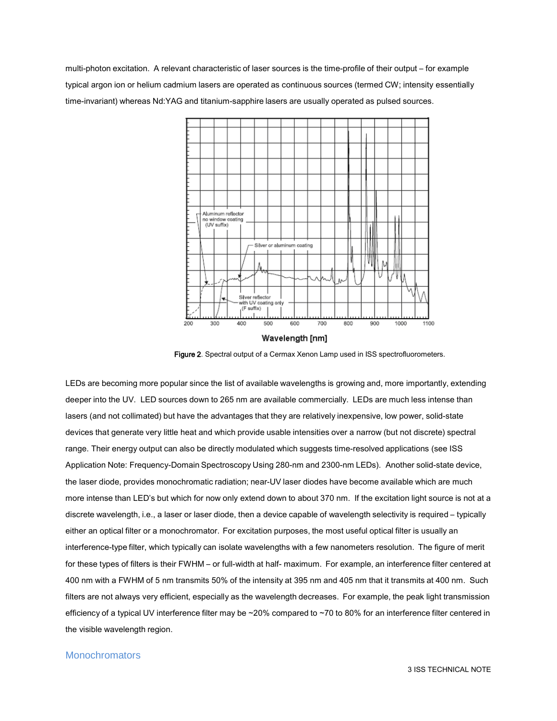multi-photon excitation. A relevant characteristic of laser sources is the time-profile of their output – for example typical argon ion or helium cadmium lasers are operated as continuous sources (termed CW; intensity essentially time-invariant) whereas Nd:YAG and titanium-sapphire lasers are usually operated as pulsed sources.



Figure 2. Spectral output of a Cermax Xenon Lamp used in ISS spectrofluorometers.

LEDs are becoming more popular since the list of available wavelengths is growing and, more importantly, extending deeper into the UV. LED sources down to 265 nm are available commercially. LEDs are much less intense than lasers (and not collimated) but have the advantages that they are relatively inexpensive, low power, solid-state devices that generate very little heat and which provide usable intensities over a narrow (but not discrete) spectral range. Their energy output can also be directly modulated which suggests time-resolved applications (see ISS Application Note: Frequency-Domain Spectroscopy Using 280-nm and 2300-nm LEDs). Another solid-state device, the laser diode, provides monochromatic radiation; near-UV laser diodes have become available which are much more intense than LED's but which for now only extend down to about 370 nm. If the excitation light source is not at a discrete wavelength, i.e., a laser or laser diode, then a device capable of wavelength selectivity is required – typically either an optical filter or a monochromator. For excitation purposes, the most useful optical filter is usually an interference-type filter, which typically can isolate wavelengths with a few nanometers resolution. The figure of merit for these types of filters is their FWHM – or full-width at half- maximum. For example, an interference filter centered at 400 nm with a FWHM of 5 nm transmits 50% of the intensity at 395 nm and 405 nm that it transmits at 400 nm. Such filters are not always very efficient, especially as the wavelength decreases. For example, the peak light transmission efficiency of a typical UV interference filter may be ~20% compared to ~70 to 80% for an interference filter centered in the visible wavelength region.

### **Monochromators**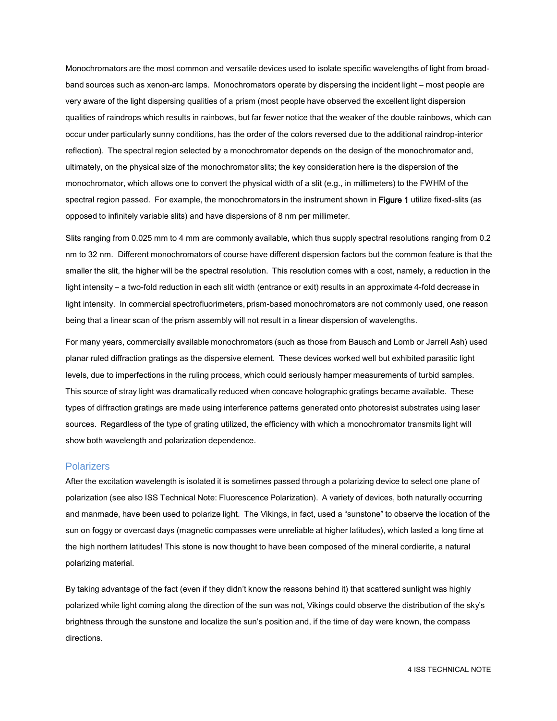Monochromators are the most common and versatile devices used to isolate specific wavelengths of light from broadband sources such as xenon-arc lamps. Monochromators operate by dispersing the incident light – most people are very aware of the light dispersing qualities of a prism (most people have observed the excellent light dispersion qualities of raindrops which results in rainbows, but far fewer notice that the weaker of the double rainbows, which can occur under particularly sunny conditions, has the order of the colors reversed due to the additional raindrop-interior reflection). The spectral region selected by a monochromator depends on the design of the monochromator and, ultimately, on the physical size of the monochromator slits; the key consideration here is the dispersion of the monochromator, which allows one to convert the physical width of a slit (e.g., in millimeters) to the FWHM of the spectral region passed. For example, the monochromators in the instrument shown in Figure 1 utilize fixed-slits (as opposed to infinitely variable slits) and have dispersions of 8 nm per millimeter.

Slits ranging from 0.025 mm to 4 mm are commonly available, which thus supply spectral resolutions ranging from 0.2 nm to 32 nm. Different monochromators of course have different dispersion factors but the common feature is that the smaller the slit, the higher will be the spectral resolution. This resolution comes with a cost, namely, a reduction in the light intensity – a two-fold reduction in each slit width (entrance or exit) results in an approximate 4-fold decrease in light intensity. In commercial spectrofluorimeters, prism-based monochromators are not commonly used, one reason being that a linear scan of the prism assembly will not result in a linear dispersion of wavelengths.

For many years, commercially available monochromators (such as those from Bausch and Lomb or Jarrell Ash) used planar ruled diffraction gratings as the dispersive element. These devices worked well but exhibited parasitic light levels, due to imperfections in the ruling process, which could seriously hamper measurements of turbid samples. This source of stray light was dramatically reduced when concave holographic gratings became available. These types of diffraction gratings are made using interference patterns generated onto photoresist substrates using laser sources. Regardless of the type of grating utilized, the efficiency with which a monochromator transmits light will show both wavelength and polarization dependence.

#### **Polarizers**

After the excitation wavelength is isolated it is sometimes passed through a polarizing device to select one plane of polarization (see also ISS Technical Note: Fluorescence Polarization). A variety of devices, both naturally occurring and manmade, have been used to polarize light. The Vikings, in fact, used a "sunstone" to observe the location of the sun on foggy or overcast days (magnetic compasses were unreliable at higher latitudes), which lasted a long time at the high northern latitudes! This stone is now thought to have been composed of the mineral cordierite, a natural polarizing material.

By taking advantage of the fact (even if they didn't know the reasons behind it) that scattered sunlight was highly polarized while light coming along the direction of the sun was not, Vikings could observe the distribution of the sky's brightness through the sunstone and localize the sun's position and, if the time of day were known, the compass directions.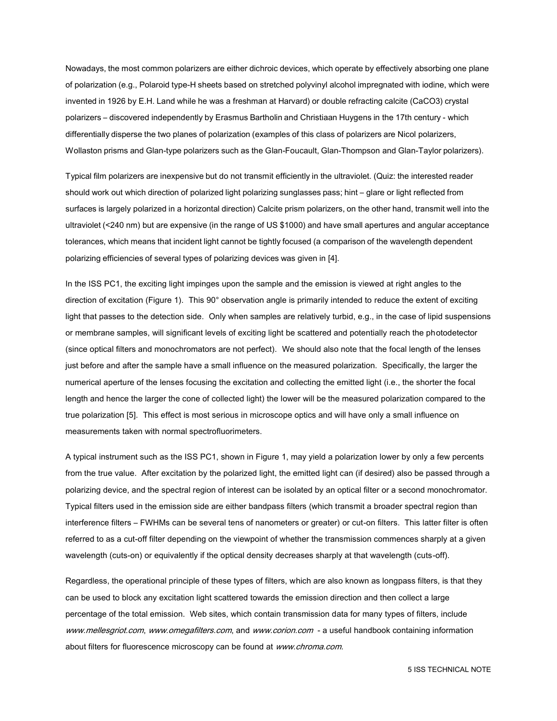Nowadays, the most common polarizers are either dichroic devices, which operate by effectively absorbing one plane of polarization (e.g., Polaroid type-H sheets based on stretched polyvinyl alcohol impregnated with iodine, which were invented in 1926 by E.H. Land while he was a freshman at Harvard) or double refracting calcite (CaCO3) crystal polarizers – discovered independently by Erasmus Bartholin and Christiaan Huygens in the 17th century - which differentially disperse the two planes of polarization (examples of this class of polarizers are Nicol polarizers, Wollaston prisms and Glan-type polarizers such as the Glan-Foucault, Glan-Thompson and Glan-Taylor polarizers).

Typical film polarizers are inexpensive but do not transmit efficiently in the ultraviolet. (Quiz: the interested reader should work out which direction of polarized light polarizing sunglasses pass; hint – glare or light reflected from surfaces is largely polarized in a horizontal direction) Calcite prism polarizers, on the other hand, transmit well into the ultraviolet (<240 nm) but are expensive (in the range of US \$1000) and have small apertures and angular acceptance tolerances, which means that incident light cannot be tightly focused (a comparison of the wavelength dependent polarizing efficiencies of several types of polarizing devices was given in [4].

In the ISS PC1, the exciting light impinges upon the sample and the emission is viewed at right angles to the direction of excitation (Figure 1). This 90° observation angle is primarily intended to reduce the extent of exciting light that passes to the detection side. Only when samples are relatively turbid, e.g., in the case of lipid suspensions or membrane samples, will significant levels of exciting light be scattered and potentially reach the photodetector (since optical filters and monochromators are not perfect). We should also note that the focal length of the lenses just before and after the sample have a small influence on the measured polarization. Specifically, the larger the numerical aperture of the lenses focusing the excitation and collecting the emitted light (i.e., the shorter the focal length and hence the larger the cone of collected light) the lower will be the measured polarization compared to the true polarization [5]. This effect is most serious in microscope optics and will have only a small influence on measurements taken with normal spectrofluorimeters.

A typical instrument such as the ISS PC1, shown in Figure 1, may yield a polarization lower by only a few percents from the true value. After excitation by the polarized light, the emitted light can (if desired) also be passed through a polarizing device, and the spectral region of interest can be isolated by an optical filter or a second monochromator. Typical filters used in the emission side are either bandpass filters (which transmit a broader spectral region than interference filters – FWHMs can be several tens of nanometers or greater) or cut-on filters. This latter filter is often referred to as a cut-off filter depending on the viewpoint of whether the transmission commences sharply at a given wavelength (cuts-on) or equivalently if the optical density decreases sharply at that wavelength (cuts-off).

Regardless, the operational principle of these types of filters, which are also known as longpass filters, is that they can be used to block any excitation light scattered towards the emission direction and then collect a large percentage of the total emission. Web sites, which contain transmission data for many types of filters, includ[e](http://www.mellesgriot.com/) [www.mellesgriot.com](http://www.mellesgriot.com/), [www.omegafilters.com](http://www.omegafilters.com/), and www.corion.com - a useful handbook containing information about filters for fluorescence microscopy can be found at [www.chroma.com.](http://www.chroma.com/)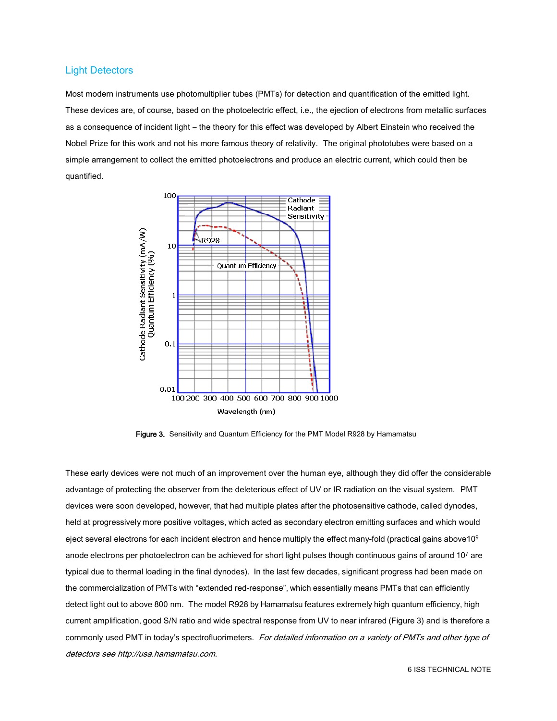## Light Detectors

Most modern instruments use photomultiplier tubes (PMTs) for detection and quantification of the emitted light. These devices are, of course, based on the photoelectric effect, i.e., the ejection of electrons from metallic surfaces as a consequence of incident light – the theory for this effect was developed by Albert Einstein who received the Nobel Prize for this work and not his more famous theory of relativity. The original phototubes were based on a simple arrangement to collect the emitted photoelectrons and produce an electric current, which could then be quantified.



Figure 3. Sensitivity and Quantum Efficiency for the PMT Model R928 by Hamamatsu

These early devices were not much of an improvement over the human eye, although they did offer the considerable advantage of protecting the observer from the deleterious effect of UV or IR radiation on the visual system. PMT devices were soon developed, however, that had multiple plates after the photosensitive cathode, called dynodes, held at progressively more positive voltages, which acted as secondary electron emitting surfaces and which would eject several electrons for each incident electron and hence multiply the effect many-fold (practical gains above10<sup>9</sup> anode electrons per photoelectron can be achieved for short light pulses though continuous gains of around 10<sup>7</sup> are typical due to thermal loading in the final dynodes). In the last few decades, significant progress had been made on the commercialization of PMTs with "extended red-response", which essentially means PMTs that can efficiently detect light out to above 800 nm. The model R928 by Hamamatsu features extremely high quantum efficiency, high current amplification, good S/N ratio and wide spectral response from UV to near infrared (Figure 3) and is therefore a commonly used PMT in today's spectrofluorimeters. For detailed information on a variety of PMTs and other type of detectors see [http://usa.hamamatsu.com.](http://usa.hamamatsu.com/)